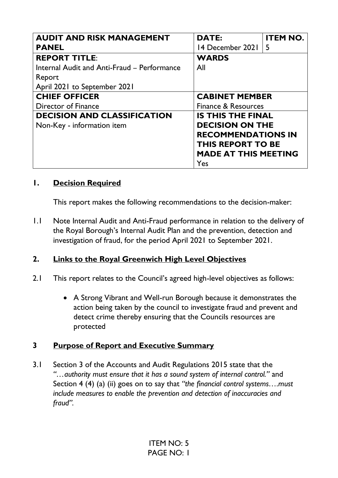| <b>AUDIT AND RISK MANAGEMENT</b>            | <b>DATE:</b>                | <b>ITEM NO.</b> |
|---------------------------------------------|-----------------------------|-----------------|
| <b>PANEL</b>                                | 14 December 2021            | -5              |
| <b>REPORT TITLE:</b>                        | <b>WARDS</b>                |                 |
| Internal Audit and Anti-Fraud - Performance | All                         |                 |
| Report                                      |                             |                 |
| April 2021 to September 2021                |                             |                 |
| <b>CHIEF OFFICER</b>                        | <b>CABINET MEMBER</b>       |                 |
| <b>Director of Finance</b>                  | Finance & Resources         |                 |
| <b>DECISION AND CLASSIFICATION</b>          | <b>IS THIS THE FINAL</b>    |                 |
| Non-Key - information item                  | <b>DECISION ON THE</b>      |                 |
|                                             | <b>RECOMMENDATIONS IN</b>   |                 |
|                                             | <b>THIS REPORT TO BE</b>    |                 |
|                                             | <b>MADE AT THIS MEETING</b> |                 |
|                                             | Yes                         |                 |

## **1. Decision Required**

This report makes the following recommendations to the decision-maker:

1.1 Note Internal Audit and Anti-Fraud performance in relation to the delivery of the Royal Borough's Internal Audit Plan and the prevention, detection and investigation of fraud, for the period April 2021 to September 2021.

# **2. Links to the Royal Greenwich High Level Objectives**

- 2.1 This report relates to the Council's agreed high-level objectives as follows:
	- A Strong Vibrant and Well-run Borough because it demonstrates the action being taken by the council to investigate fraud and prevent and detect crime thereby ensuring that the Councils resources are protected

### **3 Purpose of Report and Executive Summary**

3.1 Section 3 of the Accounts and Audit Regulations 2015 state that the *"…authority must ensure that it has a sound system of internal control."* and Section 4 (4) (a) (ii) goes on to say that *"the financial control systems….must include measures to enable the prevention and detection of inaccuracies and fraud".*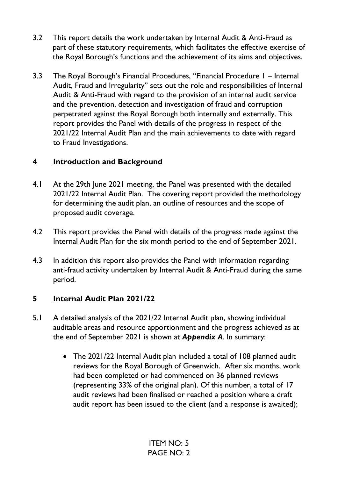- 3.2 This report details the work undertaken by Internal Audit & Anti-Fraud as part of these statutory requirements, which facilitates the effective exercise of the Royal Borough's functions and the achievement of its aims and objectives.
- 3.3 The Royal Borough's Financial Procedures, "Financial Procedure 1 Internal Audit, Fraud and Irregularity" sets out the role and responsibilities of Internal Audit & Anti-Fraud with regard to the provision of an internal audit service and the prevention, detection and investigation of fraud and corruption perpetrated against the Royal Borough both internally and externally. This report provides the Panel with details of the progress in respect of the 2021/22 Internal Audit Plan and the main achievements to date with regard to Fraud Investigations.

## **4 Introduction and Background**

- 4.1 At the 29th June 2021 meeting, the Panel was presented with the detailed 2021/22 Internal Audit Plan. The covering report provided the methodology for determining the audit plan, an outline of resources and the scope of proposed audit coverage.
- 4.2 This report provides the Panel with details of the progress made against the Internal Audit Plan for the six month period to the end of September 2021.
- 4.3 In addition this report also provides the Panel with information regarding anti-fraud activity undertaken by Internal Audit & Anti-Fraud during the same period.

# **5 Internal Audit Plan 2021/22**

- 5.1 A detailed analysis of the 2021/22 Internal Audit plan, showing individual auditable areas and resource apportionment and the progress achieved as at the end of September 2021 is shown at *Appendix A*. In summary:
	- The 2021/22 Internal Audit plan included a total of 108 planned audit reviews for the Royal Borough of Greenwich. After six months, work had been completed or had commenced on 36 planned reviews (representing 33% of the original plan). Of this number, a total of 17 audit reviews had been finalised or reached a position where a draft audit report has been issued to the client (and a response is awaited);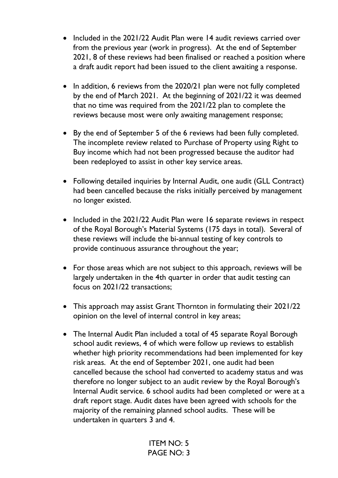- Included in the 2021/22 Audit Plan were 14 audit reviews carried over from the previous year (work in progress). At the end of September 2021, 8 of these reviews had been finalised or reached a position where a draft audit report had been issued to the client awaiting a response.
- In addition, 6 reviews from the 2020/21 plan were not fully completed by the end of March 2021. At the beginning of 2021/22 it was deemed that no time was required from the 2021/22 plan to complete the reviews because most were only awaiting management response;
- By the end of September 5 of the 6 reviews had been fully completed. The incomplete review related to Purchase of Property using Right to Buy income which had not been progressed because the auditor had been redeployed to assist in other key service areas.
- Following detailed inquiries by Internal Audit, one audit (GLL Contract) had been cancelled because the risks initially perceived by management no longer existed.
- Included in the 2021/22 Audit Plan were 16 separate reviews in respect of the Royal Borough's Material Systems (175 days in total). Several of these reviews will include the bi-annual testing of key controls to provide continuous assurance throughout the year;
- For those areas which are not subject to this approach, reviews will be largely undertaken in the 4th quarter in order that audit testing can focus on 2021/22 transactions;
- This approach may assist Grant Thornton in formulating their 2021/22 opinion on the level of internal control in key areas;
- The Internal Audit Plan included a total of 45 separate Royal Borough school audit reviews, 4 of which were follow up reviews to establish whether high priority recommendations had been implemented for key risk areas. At the end of September 2021, one audit had been cancelled because the school had converted to academy status and was therefore no longer subject to an audit review by the Royal Borough's Internal Audit service. 6 school audits had been completed or were at a draft report stage. Audit dates have been agreed with schools for the majority of the remaining planned school audits. These will be undertaken in quarters 3 and 4.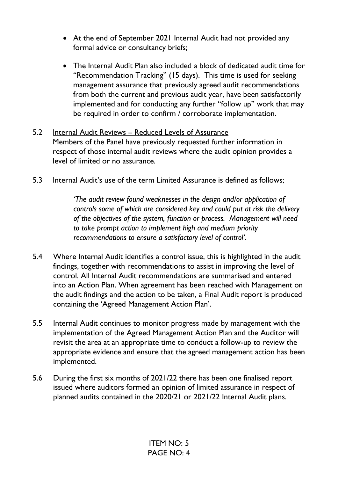- At the end of September 2021 Internal Audit had not provided any formal advice or consultancy briefs;
- The Internal Audit Plan also included a block of dedicated audit time for "Recommendation Tracking" (15 days). This time is used for seeking management assurance that previously agreed audit recommendations from both the current and previous audit year, have been satisfactorily implemented and for conducting any further "follow up" work that may be required in order to confirm / corroborate implementation.

#### 5.2 Internal Audit Reviews – Reduced Levels of Assurance

Members of the Panel have previously requested further information in respect of those internal audit reviews where the audit opinion provides a level of limited or no assurance.

5.3 Internal Audit's use of the term Limited Assurance is defined as follows;

*'The audit review found weaknesses in the design and/or application of controls some of which are considered key and could put at risk the delivery of the objectives of the system, function or process. Management will need to take prompt action to implement high and medium priority recommendations to ensure a satisfactory level of control'.* 

- 5.4 Where Internal Audit identifies a control issue, this is highlighted in the audit findings, together with recommendations to assist in improving the level of control. All Internal Audit recommendations are summarised and entered into an Action Plan. When agreement has been reached with Management on the audit findings and the action to be taken, a Final Audit report is produced containing the 'Agreed Management Action Plan'.
- 5.5 Internal Audit continues to monitor progress made by management with the implementation of the Agreed Management Action Plan and the Auditor will revisit the area at an appropriate time to conduct a follow-up to review the appropriate evidence and ensure that the agreed management action has been implemented.
- 5.6 During the first six months of 2021/22 there has been one finalised report issued where auditors formed an opinion of limited assurance in respect of planned audits contained in the 2020/21 or 2021/22 Internal Audit plans.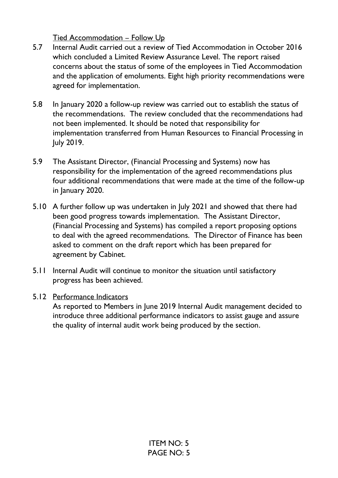Tied Accommodation – Follow Up

- 5.7 Internal Audit carried out a review of Tied Accommodation in October 2016 which concluded a Limited Review Assurance Level. The report raised concerns about the status of some of the employees in Tied Accommodation and the application of emoluments. Eight high priority recommendations were agreed for implementation.
- 5.8 In January 2020 a follow-up review was carried out to establish the status of the recommendations. The review concluded that the recommendations had not been implemented. It should be noted that responsibility for implementation transferred from Human Resources to Financial Processing in July 2019.
- 5.9 The Assistant Director, (Financial Processing and Systems) now has responsibility for the implementation of the agreed recommendations plus four additional recommendations that were made at the time of the follow-up in January 2020.
- 5.10 A further follow up was undertaken in July 2021 and showed that there had been good progress towards implementation. The Assistant Director, (Financial Processing and Systems) has compiled a report proposing options to deal with the agreed recommendations. The Director of Finance has been asked to comment on the draft report which has been prepared for agreement by Cabinet.
- 5.11 Internal Audit will continue to monitor the situation until satisfactory progress has been achieved.

### 5.12 Performance Indicators

 As reported to Members in June 2019 Internal Audit management decided to introduce three additional performance indicators to assist gauge and assure the quality of internal audit work being produced by the section.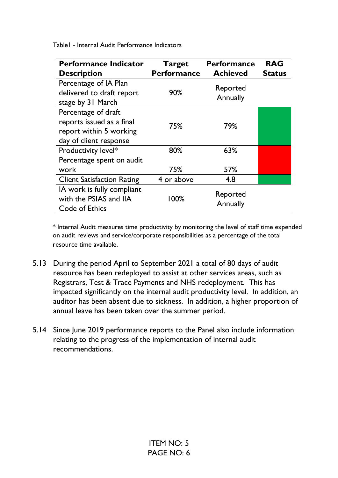Table1 - Internal Audit Performance Indicators

| <b>Performance Indicator</b><br><b>Description</b>                                                    | <b>Target</b><br><b>Performance</b> | <b>Performance</b><br><b>Achieved</b> | <b>RAG</b><br><b>Status</b> |
|-------------------------------------------------------------------------------------------------------|-------------------------------------|---------------------------------------|-----------------------------|
| Percentage of IA Plan<br>delivered to draft report<br>stage by 31 March                               | 90%                                 | Reported<br>Annually                  |                             |
| Percentage of draft<br>reports issued as a final<br>report within 5 working<br>day of client response | 75%                                 | 79%                                   |                             |
| Productivity level*<br>Percentage spent on audit                                                      | 80%                                 | 63%                                   |                             |
| work                                                                                                  | 75%                                 | 57%                                   |                             |
| <b>Client Satisfaction Rating</b>                                                                     | 4 or above                          | 4.8                                   |                             |
| IA work is fully compliant<br>with the PSIAS and IIA<br>Code of Ethics                                | 100%                                | Reported<br>Annually                  |                             |

\* Internal Audit measures time productivity by monitoring the level of staff time expended on audit reviews and service/corporate responsibilities as a percentage of the total resource time available.

- 5.13 During the period April to September 2021 a total of 80 days of audit resource has been redeployed to assist at other services areas, such as Registrars, Test & Trace Payments and NHS redeployment. This has impacted significantly on the internal audit productivity level. In addition, an auditor has been absent due to sickness. In addition, a higher proportion of annual leave has been taken over the summer period.
- 5.14 Since June 2019 performance reports to the Panel also include information relating to the progress of the implementation of internal audit recommendations.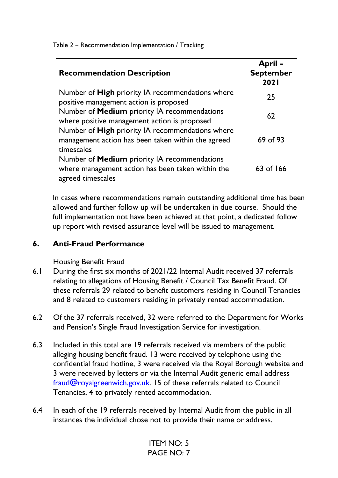Table 2 – Recommendation Implementation / Tracking

| <b>Recommendation Description</b>                                                                                             | April-<br><b>September</b><br><b>2021</b> |
|-------------------------------------------------------------------------------------------------------------------------------|-------------------------------------------|
| Number of <b>High</b> priority IA recommendations where<br>positive management action is proposed                             | 25                                        |
| Number of Medium priority IA recommendations<br>where positive management action is proposed                                  | 62                                        |
| Number of High priority IA recommendations where<br>management action has been taken within the agreed<br>timescales          | 69 of 93                                  |
| Number of <b>Medium</b> priority IA recommendations<br>where management action has been taken within the<br>agreed timescales | $63$ of 166                               |

In cases where recommendations remain outstanding additional time has been allowed and further follow up will be undertaken in due course. Should the full implementation not have been achieved at that point, a dedicated follow up report with revised assurance level will be issued to management.

### **6. Anti-Fraud Performance**

Housing Benefit Fraud

- 6.1 During the first six months of 2021/22 Internal Audit received 37 referrals relating to allegations of Housing Benefit / Council Tax Benefit Fraud. Of these referrals 29 related to benefit customers residing in Council Tenancies and 8 related to customers residing in privately rented accommodation.
- 6.2 Of the 37 referrals received, 32 were referred to the Department for Works and Pension's Single Fraud Investigation Service for investigation.
- 6.3 Included in this total are 19 referrals received via members of the public alleging housing benefit fraud. 13 were received by telephone using the confidential fraud hotline, 3 were received via the Royal Borough website and 3 were received by letters or via the Internal Audit generic email address [fraud@royalgreenwich.gov.uk.](mailto:fraud@royalgreenwich.gov.uk) 15 of these referrals related to Council Tenancies, 4 to privately rented accommodation.
- 6.4 In each of the 19 referrals received by Internal Audit from the public in all instances the individual chose not to provide their name or address.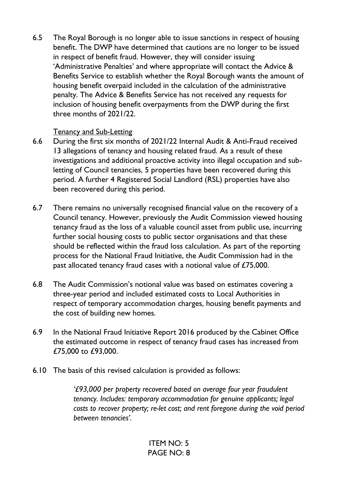6.5 The Royal Borough is no longer able to issue sanctions in respect of housing benefit. The DWP have determined that cautions are no longer to be issued in respect of benefit fraud. However, they will consider issuing 'Administrative Penalties' and where appropriate will contact the Advice & Benefits Service to establish whether the Royal Borough wants the amount of housing benefit overpaid included in the calculation of the administrative penalty. The Advice & Benefits Service has not received any requests for inclusion of housing benefit overpayments from the DWP during the first three months of 2021/22.

#### Tenancy and Sub-Letting

- 6.6 During the first six months of 2021/22 Internal Audit & Anti-Fraud received 13 allegations of tenancy and housing related fraud. As a result of these investigations and additional proactive activity into illegal occupation and subletting of Council tenancies, 5 properties have been recovered during this period. A further 4 Registered Social Landlord (RSL) properties have also been recovered during this period.
- 6.7 There remains no universally recognised financial value on the recovery of a Council tenancy. However, previously the Audit Commission viewed housing tenancy fraud as the loss of a valuable council asset from public use, incurring further social housing costs to public sector organisations and that these should be reflected within the fraud loss calculation. As part of the reporting process for the National Fraud Initiative, the Audit Commission had in the past allocated tenancy fraud cases with a notional value of £75,000.
- 6.8 The Audit Commission's notional value was based on estimates covering a three-year period and included estimated costs to Local Authorities in respect of temporary accommodation charges, housing benefit payments and the cost of building new homes.
- 6.9 In the National Fraud Initiative Report 2016 produced by the Cabinet Office the estimated outcome in respect of tenancy fraud cases has increased from £75,000 to £93,000.
- 6.10 The basis of this revised calculation is provided as follows:

 *'£93,000 per property recovered based on average four year fraudulent tenancy. Includes: temporary accommodation for genuine applicants; legal costs to recover property; re-let cost; and rent foregone during the void period between tenancies'.*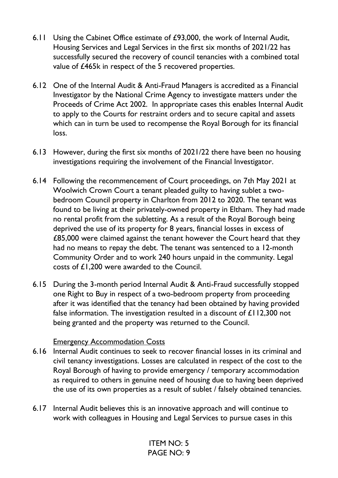- 6.11 Using the Cabinet Office estimate of £93,000, the work of Internal Audit, Housing Services and Legal Services in the first six months of 2021/22 has successfully secured the recovery of council tenancies with a combined total value of £465k in respect of the 5 recovered properties.
- 6.12 One of the Internal Audit & Anti-Fraud Managers is accredited as a Financial Investigator by the National Crime Agency to investigate matters under the Proceeds of Crime Act 2002. In appropriate cases this enables Internal Audit to apply to the Courts for restraint orders and to secure capital and assets which can in turn be used to recompense the Royal Borough for its financial loss.
- 6.13 However, during the first six months of 2021/22 there have been no housing investigations requiring the involvement of the Financial Investigator.
- 6.14 Following the recommencement of Court proceedings, on 7th May 2021 at Woolwich Crown Court a tenant pleaded guilty to having sublet a twobedroom Council property in Charlton from 2012 to 2020. The tenant was found to be living at their privately-owned property in Eltham. They had made no rental profit from the subletting. As a result of the Royal Borough being deprived the use of its property for 8 years, financial losses in excess of £85,000 were claimed against the tenant however the Court heard that they had no means to repay the debt. The tenant was sentenced to a 12-month Community Order and to work 240 hours unpaid in the community. Legal costs of £1,200 were awarded to the Council.
- 6.15 During the 3-month period Internal Audit & Anti-Fraud successfully stopped one Right to Buy in respect of a two-bedroom property from proceeding after it was identified that the tenancy had been obtained by having provided false information. The investigation resulted in a discount of  $\pounds$  112,300 not being granted and the property was returned to the Council.

#### Emergency Accommodation Costs

- 6.16 Internal Audit continues to seek to recover financial losses in its criminal and civil tenancy investigations. Losses are calculated in respect of the cost to the Royal Borough of having to provide emergency / temporary accommodation as required to others in genuine need of housing due to having been deprived the use of its own properties as a result of sublet / falsely obtained tenancies.
- 6.17 Internal Audit believes this is an innovative approach and will continue to work with colleagues in Housing and Legal Services to pursue cases in this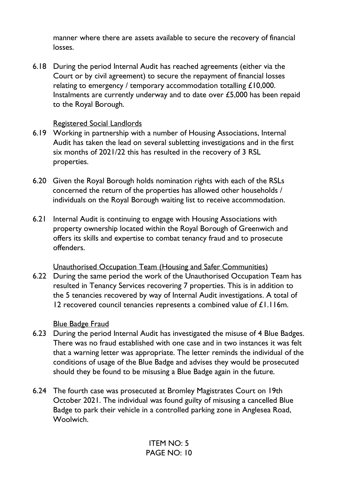manner where there are assets available to secure the recovery of financial losses.

6.18 During the period Internal Audit has reached agreements (either via the Court or by civil agreement) to secure the repayment of financial losses relating to emergency / temporary accommodation totalling £10,000. Instalments are currently underway and to date over £5,000 has been repaid to the Royal Borough.

#### Registered Social Landlords

- 6.19 Working in partnership with a number of Housing Associations, Internal Audit has taken the lead on several subletting investigations and in the first six months of 2021/22 this has resulted in the recovery of 3 RSL properties.
- 6.20 Given the Royal Borough holds nomination rights with each of the RSLs concerned the return of the properties has allowed other households / individuals on the Royal Borough waiting list to receive accommodation.
- 6.21 Internal Audit is continuing to engage with Housing Associations with property ownership located within the Royal Borough of Greenwich and offers its skills and expertise to combat tenancy fraud and to prosecute offenders.

Unauthorised Occupation Team (Housing and Safer Communities)

6.22 During the same period the work of the Unauthorised Occupation Team has resulted in Tenancy Services recovering 7 properties. This is in addition to the 5 tenancies recovered by way of Internal Audit investigations. A total of 12 recovered council tenancies represents a combined value of £1.116m.

### Blue Badge Fraud

- 6.23 During the period Internal Audit has investigated the misuse of 4 Blue Badges. There was no fraud established with one case and in two instances it was felt that a warning letter was appropriate. The letter reminds the individual of the conditions of usage of the Blue Badge and advises they would be prosecuted should they be found to be misusing a Blue Badge again in the future.
- 6.24 The fourth case was prosecuted at Bromley Magistrates Court on 19th October 2021. The individual was found guilty of misusing a cancelled Blue Badge to park their vehicle in a controlled parking zone in Anglesea Road, Woolwich.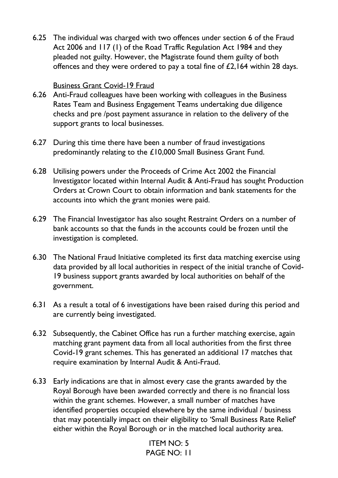6.25 The individual was charged with two offences under section 6 of the Fraud Act 2006 and 117 (1) of the Road Traffic Regulation Act 1984 and they pleaded not guilty. However, the Magistrate found them guilty of both offences and they were ordered to pay a total fine of £2,164 within 28 days.

#### Business Grant Covid-19 Fraud

- 6.26 Anti-Fraud colleagues have been working with colleagues in the Business Rates Team and Business Engagement Teams undertaking due diligence checks and pre /post payment assurance in relation to the delivery of the support grants to local businesses.
- 6.27 During this time there have been a number of fraud investigations predominantly relating to the £10,000 Small Business Grant Fund.
- 6.28 Utilising powers under the Proceeds of Crime Act 2002 the Financial Investigator located within Internal Audit & Anti-Fraud has sought Production Orders at Crown Court to obtain information and bank statements for the accounts into which the grant monies were paid.
- 6.29 The Financial Investigator has also sought Restraint Orders on a number of bank accounts so that the funds in the accounts could be frozen until the investigation is completed.
- 6.30 The National Fraud Initiative completed its first data matching exercise using data provided by all local authorities in respect of the initial tranche of Covid-19 business support grants awarded by local authorities on behalf of the government.
- 6.31 As a result a total of 6 investigations have been raised during this period and are currently being investigated.
- 6.32 Subsequently, the Cabinet Office has run a further matching exercise, again matching grant payment data from all local authorities from the first three Covid-19 grant schemes. This has generated an additional 17 matches that require examination by Internal Audit & Anti-Fraud.
- 6.33 Early indications are that in almost every case the grants awarded by the Royal Borough have been awarded correctly and there is no financial loss within the grant schemes. However, a small number of matches have identified properties occupied elsewhere by the same individual / business that may potentially impact on their eligibility to 'Small Business Rate Relief' either within the Royal Borough or in the matched local authority area.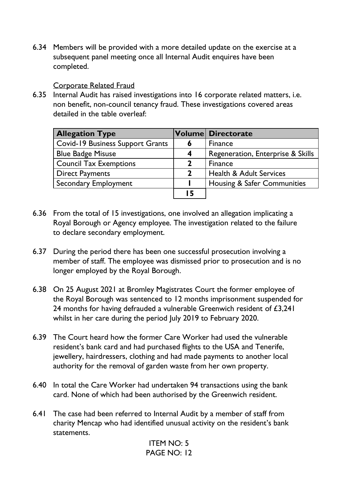6.34 Members will be provided with a more detailed update on the exercise at a subsequent panel meeting once all Internal Audit enquires have been completed.

#### Corporate Related Fraud

6.35 Internal Audit has raised investigations into 16 corporate related matters, i.e. non benefit, non-council tenancy fraud. These investigations covered areas detailed in the table overleaf:

| <b>Allegation Type</b>                  |                         | <b>Volume Directorate</b>          |
|-----------------------------------------|-------------------------|------------------------------------|
| <b>Covid-19 Business Support Grants</b> | 6                       | Finance                            |
| <b>Blue Badge Misuse</b>                | $\overline{\mathbf{4}}$ | Regeneration, Enterprise & Skills  |
| <b>Council Tax Exemptions</b>           | 2                       | Finance                            |
| <b>Direct Payments</b>                  | $\mathbf 2$             | <b>Health &amp; Adult Services</b> |
| <b>Secondary Employment</b>             |                         | Housing & Safer Communities        |
|                                         | 15                      |                                    |

- 6.36 From the total of 15 investigations, one involved an allegation implicating a Royal Borough or Agency employee. The investigation related to the failure to declare secondary employment.
- 6.37 During the period there has been one successful prosecution involving a member of staff. The employee was dismissed prior to prosecution and is no longer employed by the Royal Borough.
- 6.38 On 25 August 2021 at Bromley Magistrates Court the former employee of the Royal Borough was sentenced to 12 months imprisonment suspended for 24 months for having defrauded a vulnerable Greenwich resident of £3,241 whilst in her care during the period July 2019 to February 2020.
- 6.39 The Court heard how the former Care Worker had used the vulnerable resident's bank card and had purchased flights to the USA and Tenerife, jewellery, hairdressers, clothing and had made payments to another local authority for the removal of garden waste from her own property.
- 6.40 In total the Care Worker had undertaken 94 transactions using the bank card. None of which had been authorised by the Greenwich resident.
- 6.41 The case had been referred to Internal Audit by a member of staff from charity Mencap who had identified unusual activity on the resident's bank statements.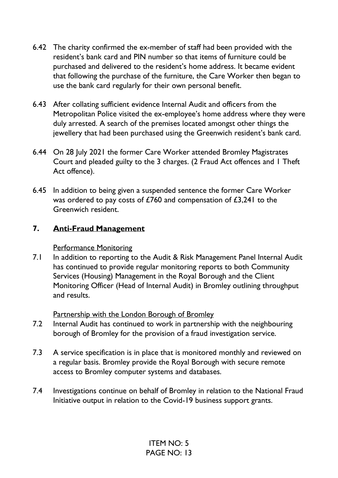- 6.42 The charity confirmed the ex-member of staff had been provided with the resident's bank card and PIN number so that items of furniture could be purchased and delivered to the resident's home address. It became evident that following the purchase of the furniture, the Care Worker then began to use the bank card regularly for their own personal benefit.
- 6.43 After collating sufficient evidence Internal Audit and officers from the Metropolitan Police visited the ex-employee's home address where they were duly arrested. A search of the premises located amongst other things the jewellery that had been purchased using the Greenwich resident's bank card.
- 6.44 On 28 July 2021 the former Care Worker attended Bromley Magistrates Court and pleaded guilty to the 3 charges. (2 Fraud Act offences and 1 Theft Act offence).
- 6.45 In addition to being given a suspended sentence the former Care Worker was ordered to pay costs of £760 and compensation of £3,241 to the Greenwich resident.

## **7. Anti-Fraud Management**

Performance Monitoring

7.1 In addition to reporting to the Audit & Risk Management Panel Internal Audit has continued to provide regular monitoring reports to both Community Services (Housing) Management in the Royal Borough and the Client Monitoring Officer (Head of Internal Audit) in Bromley outlining throughput and results.

Partnership with the London Borough of Bromley

- 7.2 Internal Audit has continued to work in partnership with the neighbouring borough of Bromley for the provision of a fraud investigation service.
- 7.3 A service specification is in place that is monitored monthly and reviewed on a regular basis. Bromley provide the Royal Borough with secure remote access to Bromley computer systems and databases.
- 7.4 Investigations continue on behalf of Bromley in relation to the National Fraud Initiative output in relation to the Covid-19 business support grants.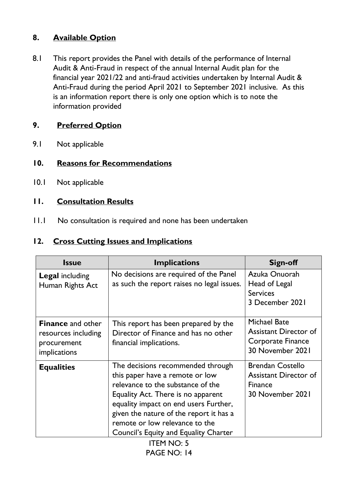# **8. Available Option**

8.1 This report provides the Panel with details of the performance of Internal Audit & Anti-Fraud in respect of the annual Internal Audit plan for the financial year 2021/22 and anti-fraud activities undertaken by Internal Audit & Anti-Fraud during the period April 2021 to September 2021 inclusive. As this is an information report there is only one option which is to note the information provided

# **9. Preferred Option**

9.1 Not applicable

# **10. Reasons for Recommendations**

10.1 Not applicable

## **11. Consultation Results**

11.1 No consultation is required and none has been undertaken

## **12. Cross Cutting Issues and Implications**

| <b>Issue</b>                                                                   | <b>Implications</b>                                                                                                                                                                                                                                                                                                   | Sign-off                                                                                      |
|--------------------------------------------------------------------------------|-----------------------------------------------------------------------------------------------------------------------------------------------------------------------------------------------------------------------------------------------------------------------------------------------------------------------|-----------------------------------------------------------------------------------------------|
| <b>Legal including</b><br>Human Rights Act                                     | No decisions are required of the Panel<br>as such the report raises no legal issues.                                                                                                                                                                                                                                  | Azuka Onuorah<br>Head of Legal<br><b>Services</b><br>3 December 2021                          |
| <b>Finance</b> and other<br>resources including<br>procurement<br>implications | This report has been prepared by the<br>Director of Finance and has no other<br>financial implications.                                                                                                                                                                                                               | <b>Michael Bate</b><br><b>Assistant Director of</b><br>Corporate Finance<br>30 November 2021  |
| <b>Equalities</b>                                                              | The decisions recommended through<br>this paper have a remote or low<br>relevance to the substance of the<br>Equality Act. There is no apparent<br>equality impact on end users Further,<br>given the nature of the report it has a<br>remote or low relevance to the<br><b>Council's Equity and Equality Charter</b> | <b>Brendan Costello</b><br><b>Assistant Director of</b><br><b>Finance</b><br>30 November 2021 |